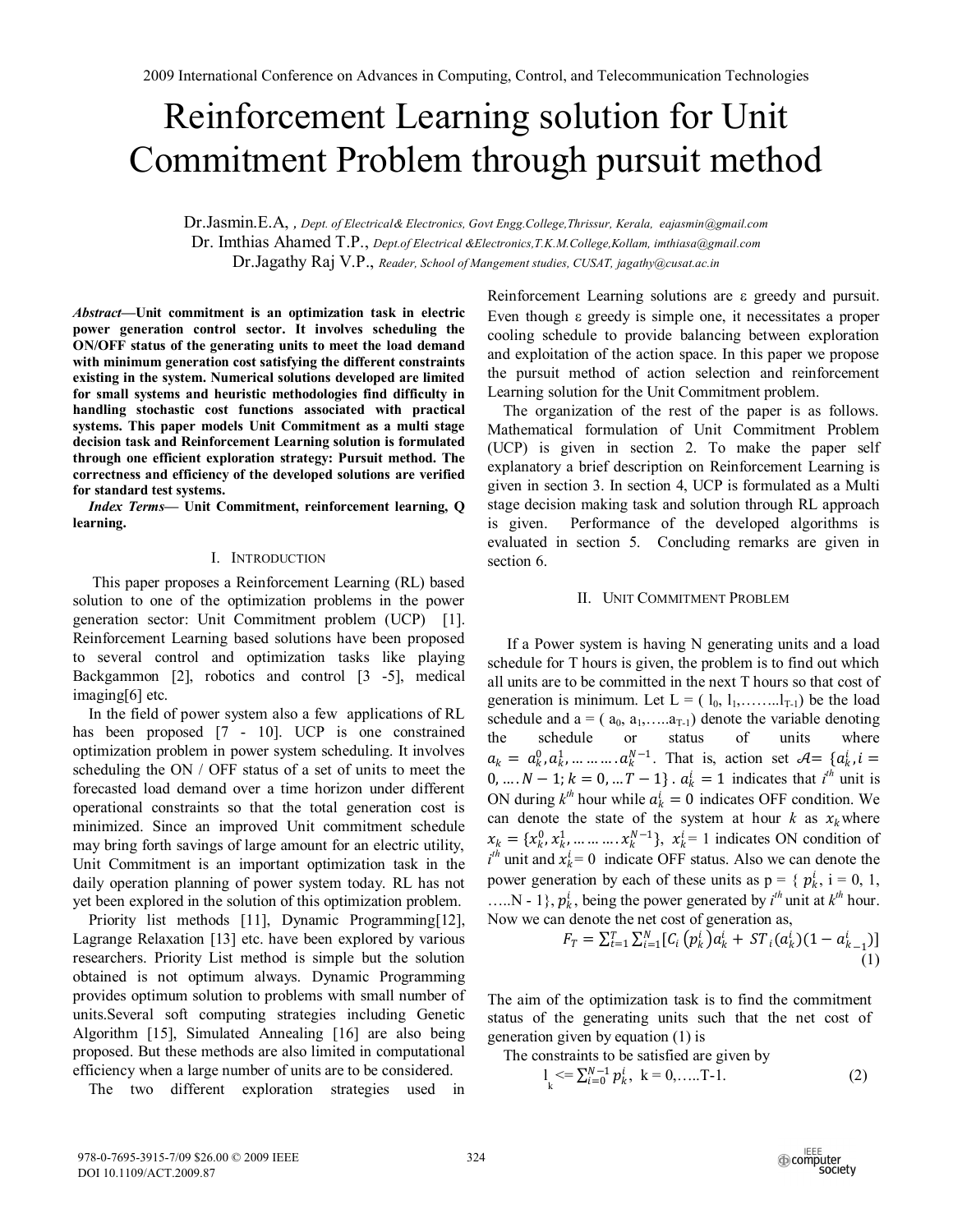# Reinforcement Learning solution for Unit Commitment Problem through pursuit method

Dr.Jasmin.E.A, *, Dept. of Electrical& Electronics, Govt Engg.College,Thrissur, Kerala, eajasmin@gmail.com*  Dr. Imthias Ahamed T.P., *Dept.of Electrical &Electronics,T.K.M.College,Kollam, imthiasa@gmail.com*  Dr.Jagathy Raj V.P., *Reader, School of Mangement studies, CUSAT, jagathy@cusat.ac.in*

*Abstract***—Unit commitment is an optimization task in electric power generation control sector. It involves scheduling the ON/OFF status of the generating units to meet the load demand with minimum generation cost satisfying the different constraints existing in the system. Numerical solutions developed are limited for small systems and heuristic methodologies find difficulty in handling stochastic cost functions associated with practical systems. This paper models Unit Commitment as a multi stage decision task and Reinforcement Learning solution is formulated through one efficient exploration strategy: Pursuit method. The correctness and efficiency of the developed solutions are verified for standard test systems.** 

*Index Terms***— Unit Commitment, reinforcement learning, Q learning.** 

#### I. INTRODUCTION

 This paper proposes a Reinforcement Learning (RL) based solution to one of the optimization problems in the power generation sector: Unit Commitment problem (UCP) [1]. Reinforcement Learning based solutions have been proposed to several control and optimization tasks like playing Backgammon [2], robotics and control [3 -5], medical imaging[6] etc.

In the field of power system also a few applications of RL has been proposed [7 - 10]. UCP is one constrained optimization problem in power system scheduling. It involves scheduling the ON / OFF status of a set of units to meet the forecasted load demand over a time horizon under different operational constraints so that the total generation cost is minimized. Since an improved Unit commitment schedule may bring forth savings of large amount for an electric utility, Unit Commitment is an important optimization task in the daily operation planning of power system today. RL has not yet been explored in the solution of this optimization problem.

Priority list methods [11], Dynamic Programming[12], Lagrange Relaxation [13] etc. have been explored by various researchers. Priority List method is simple but the solution obtained is not optimum always. Dynamic Programming provides optimum solution to problems with small number of units.Several soft computing strategies including Genetic Algorithm [15], Simulated Annealing [16] are also being proposed. But these methods are also limited in computational efficiency when a large number of units are to be considered.

The two different exploration strategies used in

Reinforcement Learning solutions are  $\varepsilon$  greedy and pursuit. Even though  $\varepsilon$  greedy is simple one, it necessitates a proper cooling schedule to provide balancing between exploration and exploitation of the action space. In this paper we propose the pursuit method of action selection and reinforcement Learning solution for the Unit Commitment problem.

The organization of the rest of the paper is as follows. Mathematical formulation of Unit Commitment Problem (UCP) is given in section 2. To make the paper self explanatory a brief description on Reinforcement Learning is given in section 3. In section 4, UCP is formulated as a Multi stage decision making task and solution through RL approach is given. Performance of the developed algorithms is evaluated in section 5. Concluding remarks are given in section 6.

#### II. UNIT COMMITMENT PROBLEM

 If a Power system is having N generating units and a load schedule for T hours is given, the problem is to find out which all units are to be committed in the next T hours so that cost of generation is minimum. Let  $L = (l_0, l_1, \ldots, l_{T-1})$  be the load schedule and  $a = (a_0, a_1, \ldots, a_{T-1})$  denote the variable denoting the schedule or status of units where  $a_k = a_k^0, a_k^1, \dots, a_k^{N-1}$ . That is, action set  $A = \{a_k^i, i = k\}$ 0, ...  $N - 1$ ;  $k = 0$ , ...  $T - 1$ } .  $a_k^i = 1$  indicates that  $i^{th}$  unit is ON during  $k^{th}$  hour while  $a_k^i = 0$  indicates OFF condition. We can denote the state of the system at hour  $k$  as  $x_k$ where  $x_k = \{x_k^0, x_k^1, \dots, x_k^{N-1}\},\ x_k^i = 1$  indicates ON condition of  $i^{th}$  unit and  $x_k^i = 0$  indicate OFF status. Also we can denote the power generation by each of these units as  $p = \{p_k^i, i = 0, 1, \ldots\}$ .....N - 1},  $p_k^i$ , being the power generated by  $i^{th}$  unit at  $k^{th}$  hour. Now we can denote the net cost of generation as,

$$
F_T = \sum_{t=1}^T \sum_{i=1}^N [C_i (p_k^i) a_k^i + ST_i (a_k^i) (1 - a_{k-1}^i)]
$$
\n(1)

The aim of the optimization task is to find the commitment status of the generating units such that the net cost of generation given by equation (1) is

The constraints to be satisfied are given by

$$
l_{k} \leq \sum_{i=0}^{N-1} p_{k}^{i}, \ k = 0, \dots, T-1.
$$
 (2)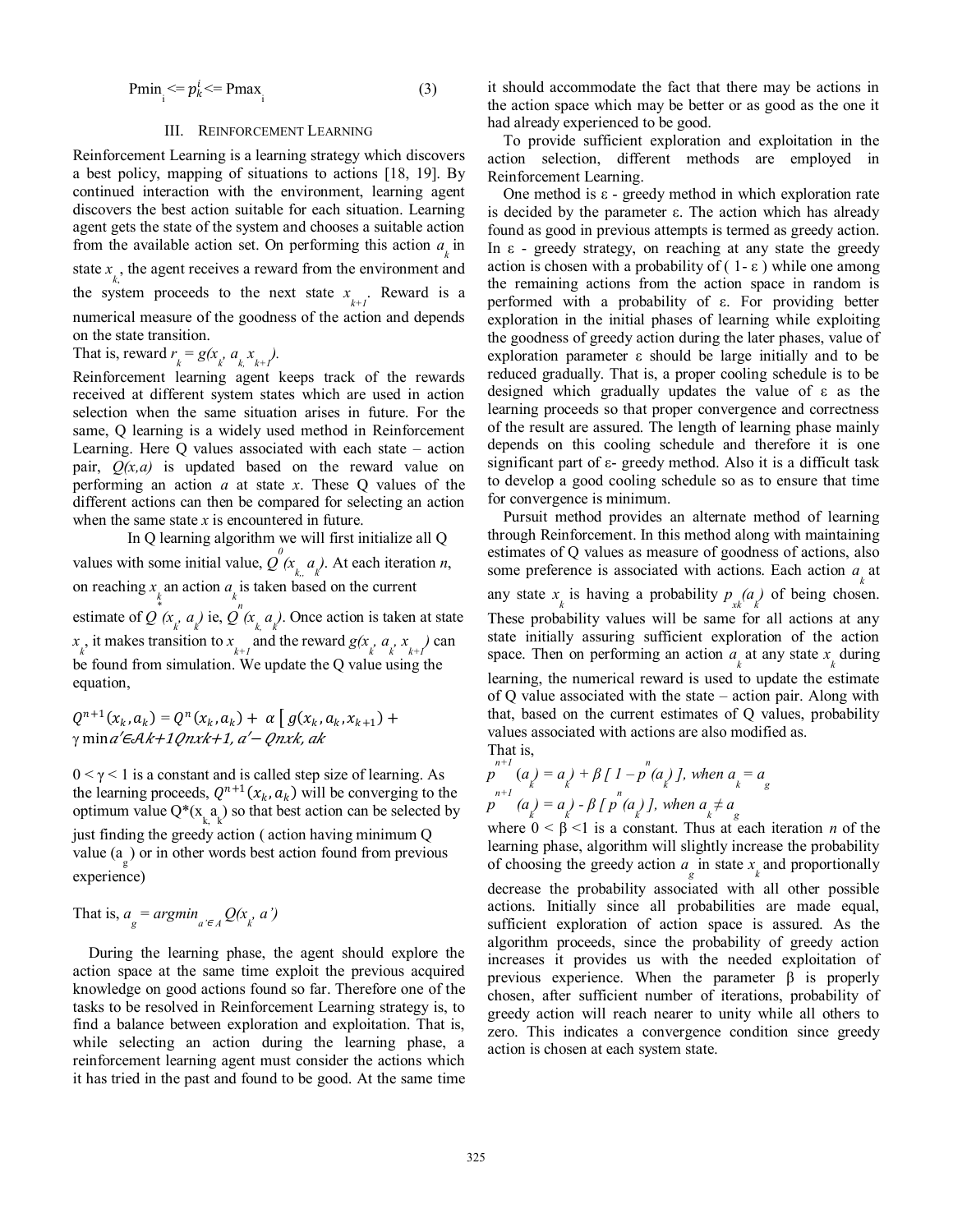$$
Pmin_{i} \le p_k^i \le Pmax_{i}
$$
 (3)

#### III. REINFORCEMENT LEARNING

Reinforcement Learning is a learning strategy which discovers a best policy, mapping of situations to actions [18, 19]. By continued interaction with the environment, learning agent discovers the best action suitable for each situation. Learning agent gets the state of the system and chooses a suitable action from the available action set. On performing this action  $a_k$  in state  $x_{\overline{k}}$ , the agent receives a reward from the environment and the system proceeds to the next state  $x_{k+1}$ . Reward is a numerical measure of the goodness of the action and depends on the state transition.

That is, reward  $r_k = g(x_k, a_k, x_{k+1}).$ 

Reinforcement learning agent keeps track of the rewards received at different system states which are used in action selection when the same situation arises in future. For the same, Q learning is a widely used method in Reinforcement Learning. Here Q values associated with each state – action pair,  $Q(x, a)$  is updated based on the reward value on performing an action *a* at state *x*. These Q values of the different actions can then be compared for selecting an action when the same state *x* is encountered in future.

In Q learning algorithm we will first initialize all Q values with some initial value,  $Q^0(x_{k_n}a_k)$ . At each iteration *n*, on reaching  $x_k$  an action  $a_k$  is taken based on the current

estimate of *Q* ( $x_k$ ,  $a_k$ ) ie, *Q* ( $x_k$ ,  $a_k$ ). Once action is taken at state *\* n*  $x_k$ , it makes transition to  $x_{k+1}$  and the reward  $g(x_k, a_k, x_{k+1})$  can be found from simulation. We update the Q value using the equation,

$$
Q^{n+1}(x_k, a_k) = Q^n(x_k, a_k) + \alpha \left[ g(x_k, a_k, x_{k+1}) + \gamma \min a' \in \mathcal{A} \times \mathcal{A} + 1 Q n x k + 1, a' - Q n x k, ak \right]
$$

 $0 \le \gamma \le 1$  is a constant and is called step size of learning. As the learning proceeds,  $Q^{n+1}(x_k, a_k)$  will be converging to the optimum value  $Q^*(x_{k, k})$  so that best action can be selected by just finding the greedy action ( action having minimum Q value  $(a<sub>g</sub>)$  or in other words best action found from previous experience)

That is, 
$$
a_g = argmin_{a' \in A} Q(x_k, a')
$$

During the learning phase, the agent should explore the action space at the same time exploit the previous acquired knowledge on good actions found so far. Therefore one of the tasks to be resolved in Reinforcement Learning strategy is, to find a balance between exploration and exploitation. That is, while selecting an action during the learning phase, a reinforcement learning agent must consider the actions which it has tried in the past and found to be good. At the same time

it should accommodate the fact that there may be actions in the action space which may be better or as good as the one it had already experienced to be good.

To provide sufficient exploration and exploitation in the action selection, different methods are employed in Reinforcement Learning.

One method is  $ε$  - greedy method in which exploration rate is decided by the parameter ε. The action which has already found as good in previous attempts is termed as greedy action. In  $ε$  - greedy strategy, on reaching at any state the greedy action is chosen with a probability of  $(1 - \varepsilon)$  while one among the remaining actions from the action space in random is performed with a probability of ε. For providing better exploration in the initial phases of learning while exploiting the goodness of greedy action during the later phases, value of exploration parameter ε should be large initially and to be reduced gradually. That is, a proper cooling schedule is to be designed which gradually updates the value of ε as the learning proceeds so that proper convergence and correctness of the result are assured. The length of learning phase mainly depends on this cooling schedule and therefore it is one significant part of ε- greedy method. Also it is a difficult task to develop a good cooling schedule so as to ensure that time for convergence is minimum.

Pursuit method provides an alternate method of learning through Reinforcement. In this method along with maintaining estimates of Q values as measure of goodness of actions, also some preference is associated with actions. Each action  $a_k$  at any state  $x_k$  is having a probability  $p_{x_k}(a_k)$  of being chosen. These probability values will be same for all actions at any state initially assuring sufficient exploration of the action space. Then on performing an action  $a_k$  at any state  $x_k$  during learning, the numerical reward is used to update the estimate of Q value associated with the state – action pair. Along with that, based on the current estimates of Q values, probability values associated with actions are also modified as. That is,

$$
p^{n+1}
$$
 ( $a_k$ ) =  $a_k$ ) +  $\beta$  [ $1-p^n$ ( $a_k$ )], when  $a_k$  =  $a_g$   
 $p^{n+1}$  ( $a_k$ ) =  $a_k$ ) -  $\beta$  [ $p^n$ ( $a_k$ )], when  $a_k \neq a_g$ 

where  $0 \leq \beta \leq 1$  is a constant. Thus at each iteration *n* of the learning phase, algorithm will slightly increase the probability of choosing the greedy action  $a_{\rm g}$  in state  $x_{\rm k}$  and proportionally decrease the probability associated with all other possible actions. Initially since all probabilities are made equal, sufficient exploration of action space is assured. As the algorithm proceeds, since the probability of greedy action increases it provides us with the needed exploitation of previous experience. When the parameter β is properly chosen, after sufficient number of iterations, probability of greedy action will reach nearer to unity while all others to zero. This indicates a convergence condition since greedy action is chosen at each system state.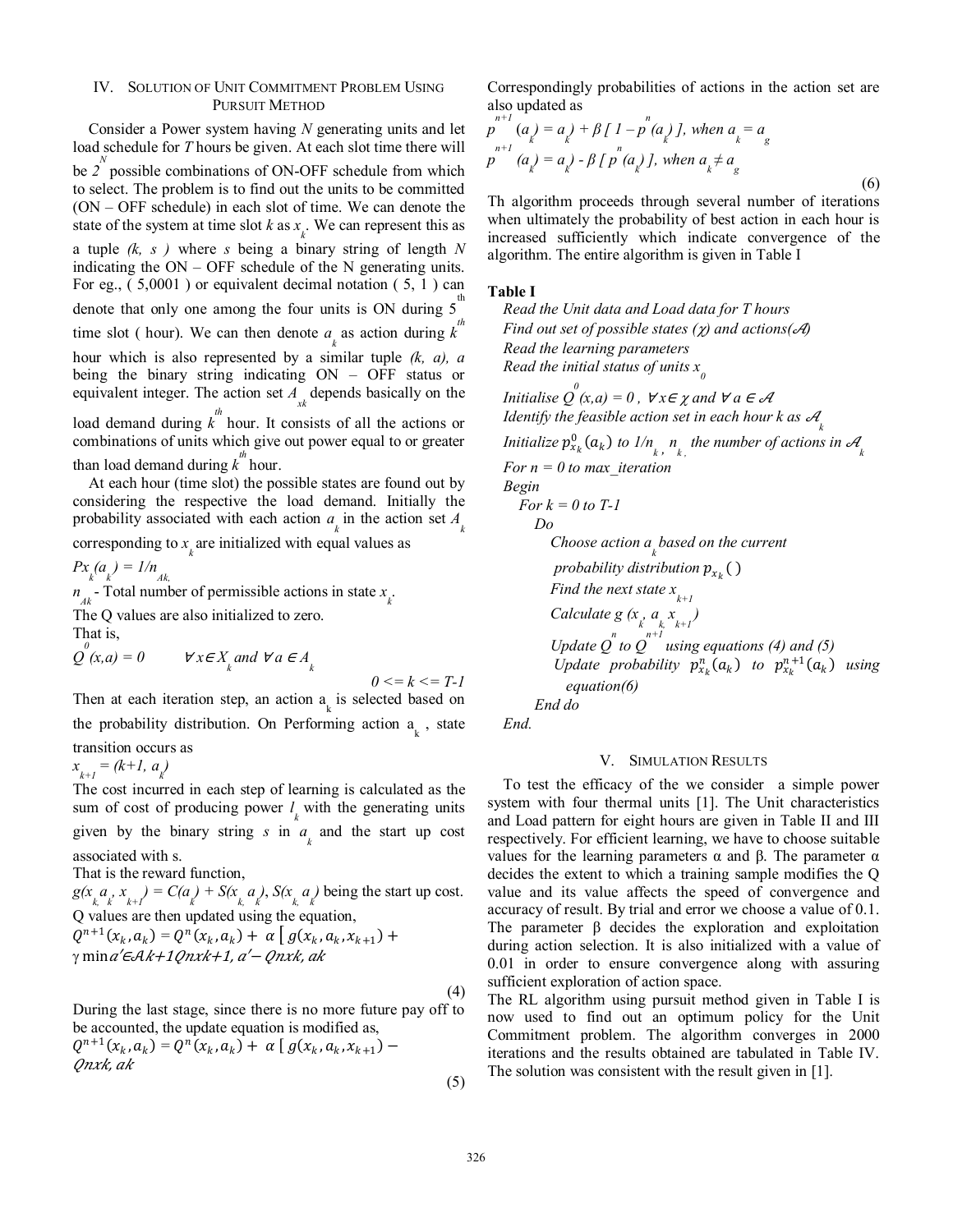### IV. SOLUTION OF UNIT COMMITMENT PROBLEM USING PURSUIT METHOD

Consider a Power system having *N* generating units and let load schedule for *T* hours be given. At each slot time there will be  $2^N$  possible combinations of ON-OFF schedule from which to select. The problem is to find out the units to be committed (ON – OFF schedule) in each slot of time. We can denote the state of the system at time slot *k* as  $x_k$ . We can represent this as a tuple *(k, s )* where *s* being a binary string of length *N*  indicating the ON – OFF schedule of the N generating units. For eg.,  $(5,0001)$  or equivalent decimal notation  $(5, 1)$  can denote that only one among the four units is ON during  $5$ th time slot ( hour). We can then denote  $a_k$  as action during  $k^h$ hour which is also represented by a similar tuple *(k, a), a*  being the binary string indicating ON – OFF status or equivalent integer. The action set *A xk* depends basically on the load demand during  $k^{th}$  hour. It consists of all the actions or combinations of units which give out power equal to or greater than load demand during  $k^{\text{th}}$  hour.

At each hour (time slot) the possible states are found out by considering the respective the load demand. Initially the probability associated with each action  $a_k$  in the action set  $A_k$ corresponding to  $x_k$  are initialized with equal values as

 $P_{X_k}(a_k) = 1/n_{A_k}$ 

 $n_{\mu k}$  - Total number of permissible actions in state  $x_{\mu k}$ .

The Q values are also initialized to zero.

That is,

*Q 0*  $f(x,a) = 0$  *∀ x*∈*X*<sub>*k*</sub> and *∀* a ∈ *A*<sub>*k*</sub>

$$
0 \leq k \leq T-1
$$

Then at each iteration step, an action  $a_k$  is selected based on the probability distribution. On Performing action  $a_{i}$ , state transition occurs as

 $x_{k+1} = (k+1, a_k)$ 

The cost incurred in each step of learning is calculated as the sum of cost of producing power  $l_k$  with the generating units given by the binary string  $s$  in  $a_k$  and the start up cost associated with s.

That is the reward function,

 $g(x_{k} a_{k}^{\dagger}, x_{k+1}^{\dagger}) = C(a_{k}^{\dagger}) + S(x_{k}^{\dagger}, a_{k}^{\dagger})$ ,  $S(x_{k}^{\dagger}, a_{k}^{\dagger})$  being the start up cost. Q values are then updated using the equation,

$$
Q^{n+1}(x_k, a_k) = Q^n(x_k, a_k) + \alpha [g(x_k, a_k, x_{k+1}) + \gamma \min a' \in \mathcal{A}k + 1Qnx^2 + 1, a' - Qnx^2, ak
$$

(4)

(5)

During the last stage, since there is no more future pay off to be accounted, the update equation is modified as,

 $Q^{n+1}(x_k, a_k) = Q^n(x_k, a_k) + \alpha [ g(x_k, a_k, x_{k+1}) -$ Onxk, ak

Correspondingly probabilities of actions in the action set are also updated as

$$
p^{n+1} (a) = a_{k} + \beta \int I - p^{n} (a_{k}) J, \text{ when } a_{k} = a_{g}
$$
  
\n
$$
p^{n+1} (a_{k}) = a_{k} - \beta \int p^{n} (a_{k}) J, \text{ when } a_{k} \neq a_{g}
$$
  
\n
$$
\sum_{k=1}^{n+1} a_{k} (a_{k} - a_{k}) = 0 \quad (6)
$$

Th algorithm proceeds through several number of iterations when ultimately the probability of best action in each hour is increased sufficiently which indicate convergence of the algorithm. The entire algorithm is given in Table I

## **Table I**

*Read the Unit data and Load data for T hours Find out set of possible states*  $(\gamma)$  *and actions*  $(\mathcal{A})$ *Read the learning parameters Read the initial status of units x0* 

*Initialise*  $\stackrel{o}{Q}(x,a) = 0$ ,  $\forall x \in \chi$  and  $\forall a \in \mathcal{A}$ Identify the feasible action set in each hour k as  $\mathscr{A}_{\tiny \vec{k}}$ Initialize  $p_{x_k}^0(a_k)$  to  $1/n_{k}^+$ ,  $n_{k}^-$  the number of actions in  $\mathscr{A}_{\overline{k}}^0$ *For n = 0 to max\_iteration Begin For k = 0 to T-1 Do Choose action a<sub>k</sub> based on the current probability distribution*  $p_{x_k}(\cdot)$ *Find the next state x k+1 Calculate g*  $(x_k, a_k x_{k+1})$ 

Update 
$$
Q^n
$$
 to  $Q^{n+1}$  using equations (4) and (5)  
Update probability  $p_{x_k}^n(a_k)$  to  $p_{x_k}^{n+1}(a_k)$  using  
equation(6)

*End do* 

*End.* 

#### V. SIMULATION RESULTS

To test the efficacy of the we consider a simple power system with four thermal units [1]. The Unit characteristics and Load pattern for eight hours are given in Table II and III respectively. For efficient learning, we have to choose suitable values for the learning parameters α and β. The parameter α decides the extent to which a training sample modifies the Q value and its value affects the speed of convergence and accuracy of result. By trial and error we choose a value of 0.1. The parameter  $\beta$  decides the exploration and exploitation during action selection. It is also initialized with a value of 0.01 in order to ensure convergence along with assuring sufficient exploration of action space.

The RL algorithm using pursuit method given in Table I is now used to find out an optimum policy for the Unit Commitment problem. The algorithm converges in 2000 iterations and the results obtained are tabulated in Table IV. The solution was consistent with the result given in [1].